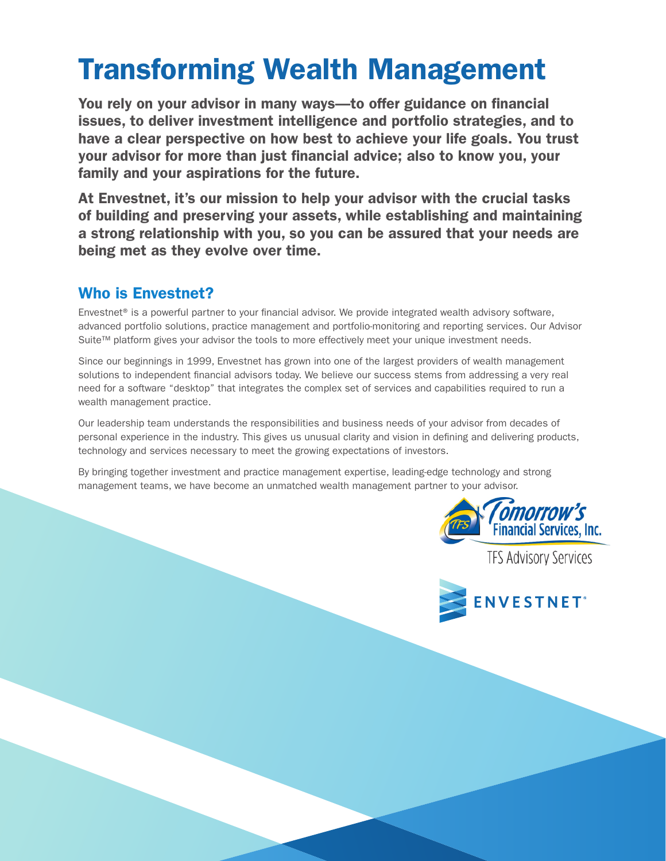# Transforming Wealth Management

You rely on your advisor in many ways—to offer guidance on financial issues, to deliver investment intelligence and portfolio strategies, and to have a clear perspective on how best to achieve your life goals. You trust your advisor for more than just financial advice; also to know you, your family and your aspirations for the future.

At Envestnet, it's our mission to help your advisor with the crucial tasks of building and preserving your assets, while establishing and maintaining a strong relationship with you, so you can be assured that your needs are being met as they evolve over time.

## Who is Envestnet?

Envestnet® is a powerful partner to your financial advisor. We provide integrated wealth advisory software, advanced portfolio solutions, practice management and portfolio-monitoring and reporting services. Our Advisor Suite™ platform gives your advisor the tools to more effectively meet your unique investment needs.

Since our beginnings in 1999, Envestnet has grown into one of the largest providers of wealth management solutions to independent financial advisors today. We believe our success stems from addressing a very real need for a software "desktop" that integrates the complex set of services and capabilities required to run a wealth management practice.

Our leadership team understands the responsibilities and business needs of your advisor from decades of personal experience in the industry. This gives us unusual clarity and vision in defining and delivering products, technology and services necessary to meet the growing expectations of investors.

By bringing together investment and practice management expertise, leading-edge technology and strong management teams, we have become an unmatched wealth management partner to your advisor.



**TFS Advisory Services**